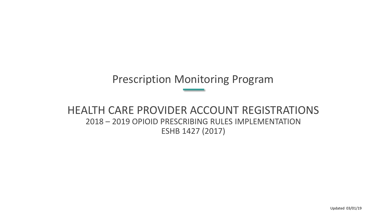### Prescription Monitoring Program

#### HEALTH CARE PROVIDER ACCOUNT REGISTRATIONS 2018 – 2019 OPIOID PRESCRIBING RULES IMPLEMENTATION ESHB 1427 (2017)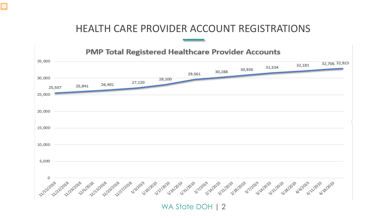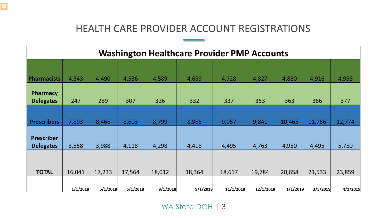| <b>Washington Healthcare Provider PMP Accounts</b> |          |          |          |          |          |           |           |          |          |          |
|----------------------------------------------------|----------|----------|----------|----------|----------|-----------|-----------|----------|----------|----------|
|                                                    |          |          |          |          |          |           |           |          |          |          |
| <b>Pharmacists</b>                                 | 4,343    | 4,490    | 4,536    | 4,589    | 4,659    | 4,728     | 4,827     | 4,880    | 4,916    | 4,958    |
| <b>Pharmacy</b><br><b>Delegates</b>                | 247      | 289      | 307      | 326      | 332      | 337       | 353       | 363      | 366      | 377      |
|                                                    |          |          |          |          |          |           |           |          |          |          |
| <b>Prescribers</b>                                 | 7,893    | 8,466    | 8,603    | 8,799    | 8,955    | 9,057     | 9,841     | 10,465   | 11,756   | 12,774   |
| <b>Prescriber</b><br><b>Delegates</b>              | 3,558    | 3,988    | 4,118    | 4,298    | 4,418    | 4,495     | 4,763     | 4,950    | 4,495    | 5,750    |
|                                                    |          |          |          |          |          |           |           |          |          |          |
| <b>TOTAL</b>                                       | 16,041   | 17,233   | 17,564   | 18,012   | 18,364   | 18,617    | 19,784    | 20,658   | 21,533   | 23,859   |
|                                                    | 1/1/2018 | 5/1/2018 | 6/1/2018 | 8/1/2018 | 9/1/2018 | 11/1/2018 | 12/1/2018 | 1/1/2019 | 3/5/2019 | 4/1/2019 |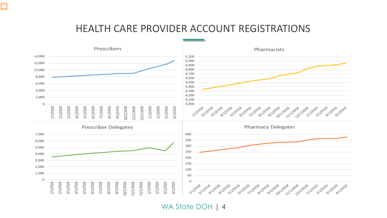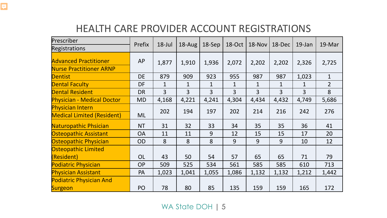| Prescriber<br><b>Registrations</b>                             | Prefix    | $18$ -Jul      | 18-Aug       | $18-$ Sep    | 18-Oct         | $18$ -Nov      | 18-Dec       | $19$ -Jan    | 19-Mar         |
|----------------------------------------------------------------|-----------|----------------|--------------|--------------|----------------|----------------|--------------|--------------|----------------|
| <b>Advanced Practitioner</b><br><b>Nurse Practitioner ARNP</b> | <b>AP</b> | 1,877          | 1,910        | 1,936        | 2,072          | 2,202          | 2,202        | 2,326        | 2,725          |
| <b>Dentist</b>                                                 | <b>DE</b> | 879            | 909          | 923          | 955            | 987            | 987          | 1,023        | $\mathbf{1}$   |
| <b>Dental Faculty</b>                                          | DF        | $\mathbf{1}$   | $\mathbf{1}$ | $\mathbf{1}$ | $\mathbf{1}$   | $\mathbf{1}$   | $\mathbf{1}$ | $\mathbf{1}$ | $\overline{2}$ |
| <b>Dental Resident</b>                                         | <b>DR</b> | $\overline{3}$ | 3            | 3            | $\overline{3}$ | $\overline{3}$ | 3            | 3            | 8              |
| <b>Physician - Medical Doctor</b>                              | <b>MD</b> | 4,168          | 4,221        | 4,241        | 4,304          | 4,434          | 4,432        | 4,749        | 5,686          |
| <b>Physician Intern</b><br><b>Medical Limited (Resident)</b>   | <b>ML</b> | 202            | 194          | 197          | 202            | 214            | 216          | 242          | 276            |
| Naturopathic Phsician                                          | <b>NT</b> | 31             | 32           | 33           | 34             | 35             | 35           | 36           | 41             |
| <b>Osteopathic Assistant</b>                                   | <b>OA</b> | 11             | 11           | 9            | 12             | 15             | 15           | 17           | 20             |
| Osteopathic Physician                                          | <b>OD</b> | 8              | 8            | 8            | 9              | 9              | 9            | 10           | 12             |
| <b>Osteopathic Limited</b>                                     |           |                |              |              |                |                |              |              |                |
| (Resident)                                                     | <b>OL</b> | 43             | 50           | 54           | 57             | 65             | 65           | 71           | 79             |
| <b>Podiatric Physician</b>                                     | <b>OP</b> | 509            | 525          | 534          | 561            | 585            | 585          | 610          | 713            |
| <b>Physician Assistant</b>                                     | PA        | 1,023          | 1,041        | 1,055        | 1,086          | 1,132          | 1,132        | 1,212        | 1,442          |
| <b>Podiatric Physician And</b>                                 |           |                |              |              |                |                |              |              |                |
| Surgeon                                                        | PO        | 78             | 80           | 85           | 135            | 159            | 159          | 165          | 172            |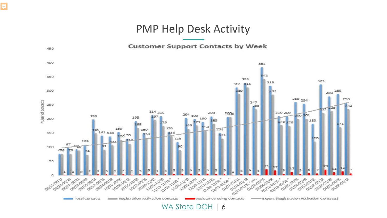#### PMP Help Desk Activity

#### **Customer Support Contacts by Week**

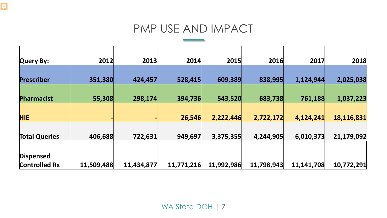## PMP USE AND IMPACT

| <b>Query By:</b>     | 2012       | 2013       | 2014       | 2015       | 2016       | 2017       | 2018       |
|----------------------|------------|------------|------------|------------|------------|------------|------------|
|                      |            |            |            |            |            |            |            |
| <b>Prescriber</b>    | 351,380    | 424,457    | 528,415    | 609,389    | 838,995    | 1,124,944  | 2,025,038  |
|                      |            |            |            |            |            |            |            |
| <b>Pharmacist</b>    | 55,308     | 298,174    | 394,736    | 543,520    | 683,738    | 761,188    | 1,037,223  |
|                      |            |            |            |            |            |            |            |
| <b>HIE</b>           |            |            | 26,546     | 2,222,446  | 2,722,172  | 4,124,241  | 18,116,831 |
|                      |            |            |            |            |            |            |            |
| <b>Total Queries</b> | 406,688    | 722,631    | 949,697    | 3,375,355  | 4,244,905  | 6,010,373  | 21,179,092 |
|                      |            |            |            |            |            |            |            |
| <b>Dispensed</b>     |            |            |            |            |            |            |            |
| <b>Controlled Rx</b> | 11,509,488 | 11,434,877 | 11,771,216 | 11,992,986 | 11,798,943 | 11,141,708 | 10,772,291 |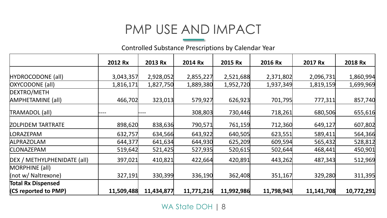# PMP USE AND IMPACT

Controlled Substance Prescriptions by Calendar Year

|                             | 2012 Rx    | 2013 Rx    | 2014 Rx    | 2015 Rx    | 2016 Rx    | 2017 Rx    | 2018 Rx    |
|-----------------------------|------------|------------|------------|------------|------------|------------|------------|
|                             |            |            |            |            |            |            |            |
| HYDROCODONE (all)           | 3,043,357  | 2,928,052  | 2,855,227  | 2,521,688  | 2,371,802  | 2,096,731  | 1,860,994  |
| <b>OXYCODONE</b> (all)      | 1,816,171  | 1,827,750  | 1,889,380  | 1,952,720  | 1,937,349  | 1,819,159  | 1,699,969  |
| DEXTRO/METH                 |            |            |            |            |            |            |            |
| <b>AMPHETAMINE (all)</b>    | 466,702    | 323,013    | 579,927    | 626,923    | 701,795    | 777,311    | 857,740    |
| TRAMADOL (all)              |            |            | 308,803    | 730,446    | 718,261    | 680,506    | 655,616    |
| ZOLPIDEM TARTRATE           | 898,620    | 838,636    | 790,571    | 761,159    | 712,360    | 649,127    | 607,802    |
| LORAZEPAM                   | 632,757    | 634,566    | 643,922    | 640,505    | 623,551    | 589,411    | 564,366    |
| <b>ALPRAZOLAM</b>           | 644,377    | 641,634    | 644,930    | 625,209    | 609,594    | 565,432    | 528,812    |
| <b>CLONAZEPAM</b>           | 519,642    | 521,425    | 527,935    | 520,615    | 502,644    | 468,441    | 450,901    |
| DEX / METHYLPHENIDATE (all) | 397,021    | 410,821    | 422,664    | 420,891    | 443,262    | 487,343    | 512,969    |
| MORPHINE (all)              |            |            |            |            |            |            |            |
| (not w/ Naltrexone)         | 327,191    | 330,399    | 336,190    | 362,408    | 351,167    | 329,280    | 311,395    |
| <b>Total Rx Dispensed</b>   |            |            |            |            |            |            |            |
| (CS reported to PMP)        | 11,509,488 | 11,434,877 | 11,771,216 | 11,992,986 | 11,798,943 | 11,141,708 | 10,772,291 |